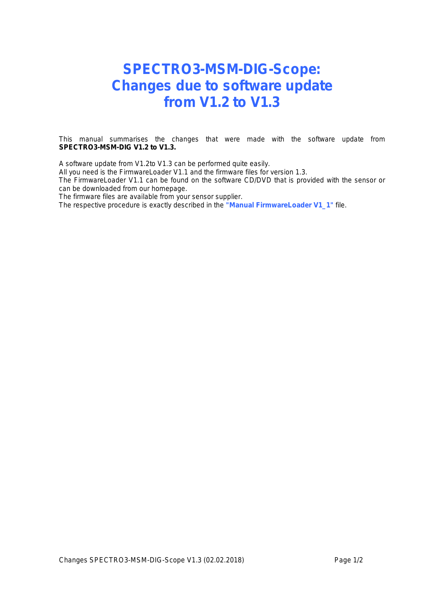## **SPECTRO3-MSM-DIG-Scope: Changes due to software update from V1.2 to V1.3**

This manual summarises the changes that were made with the software update from **SPECTRO3-MSM-DIG V1.2 to V1.3.**

A software update from V1.2to V1.3 can be performed quite easily.

All you need is the FirmwareLoader V1.1 and the firmware files for version 1.3.

The FirmwareLoader V1.1 can be found on the software CD/DVD that is provided with the sensor or can be downloaded from our homepage.

The firmware files are available from your sensor supplier.

The respective procedure is exactly described in the **"Manual FirmwareLoader V1\_1"** file.